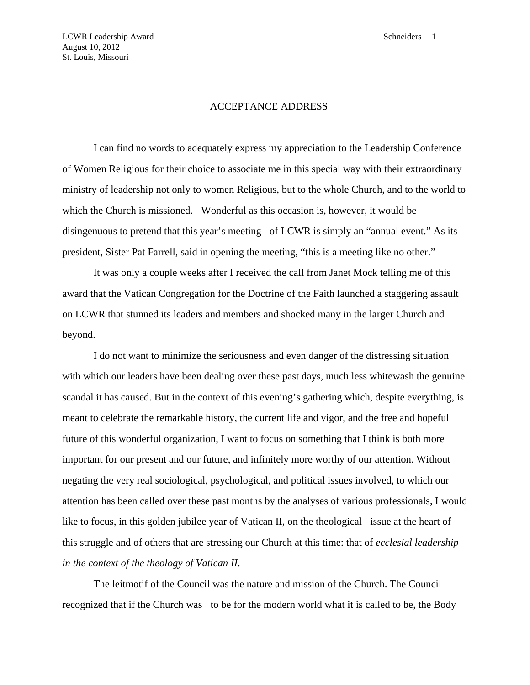## ACCEPTANCE ADDRESS

 I can find no words to adequately express my appreciation to the Leadership Conference of Women Religious for their choice to associate me in this special way with their extraordinary ministry of leadership not only to women Religious, but to the whole Church, and to the world to which the Church is missioned. Wonderful as this occasion is, however, it would be disingenuous to pretend that this year's meeting of LCWR is simply an "annual event." As its president, Sister Pat Farrell, said in opening the meeting, "this is a meeting like no other."

 It was only a couple weeks after I received the call from Janet Mock telling me of this award that the Vatican Congregation for the Doctrine of the Faith launched a staggering assault on LCWR that stunned its leaders and members and shocked many in the larger Church and beyond.

 I do not want to minimize the seriousness and even danger of the distressing situation with which our leaders have been dealing over these past days, much less whitewash the genuine scandal it has caused. But in the context of this evening's gathering which, despite everything, is meant to celebrate the remarkable history, the current life and vigor, and the free and hopeful future of this wonderful organization, I want to focus on something that I think is both more important for our present and our future, and infinitely more worthy of our attention. Without negating the very real sociological, psychological, and political issues involved, to which our attention has been called over these past months by the analyses of various professionals, I would like to focus, in this golden jubilee year of Vatican II, on the theological issue at the heart of this struggle and of others that are stressing our Church at this time: that of *ecclesial leadership in the context of the theology of Vatican II*.

 The leitmotif of the Council was the nature and mission of the Church. The Council recognized that if the Church was to be for the modern world what it is called to be, the Body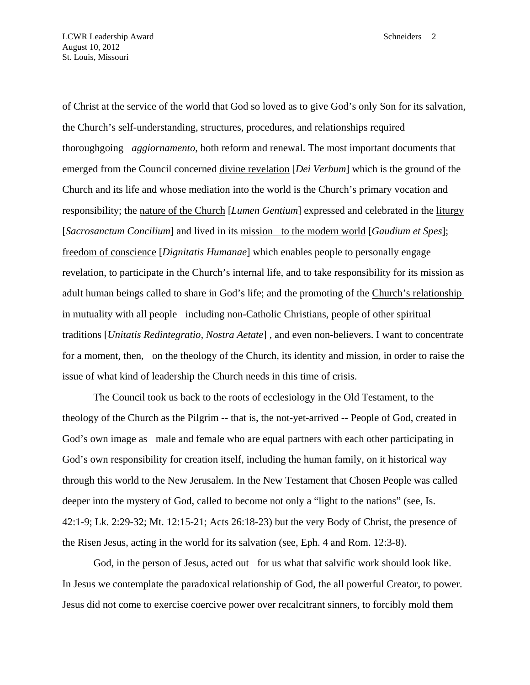of Christ at the service of the world that God so loved as to give God's only Son for its salvation, the Church's self-understanding, structures, procedures, and relationships required thoroughgoing *aggiornamento*, both reform and renewal. The most important documents that emerged from the Council concerned divine revelation [*Dei Verbum*] which is the ground of the Church and its life and whose mediation into the world is the Church's primary vocation and responsibility; the nature of the Church [*Lumen Gentium*] expressed and celebrated in the liturgy [*Sacrosanctum Concilium*] and lived in its mission to the modern world [*Gaudium et Spes*]; freedom of conscience [*Dignitatis Humanae*] which enables people to personally engage revelation, to participate in the Church's internal life, and to take responsibility for its mission as adult human beings called to share in God's life; and the promoting of the Church's relationship in mutuality with all people including non-Catholic Christians, people of other spiritual traditions [*Unitatis Redintegratio, Nostra Aetate*] , and even non-believers. I want to concentrate for a moment, then, on the theology of the Church, its identity and mission, in order to raise the issue of what kind of leadership the Church needs in this time of crisis.

 The Council took us back to the roots of ecclesiology in the Old Testament, to the theology of the Church as the Pilgrim -- that is, the not-yet-arrived -- People of God, created in God's own image as male and female who are equal partners with each other participating in God's own responsibility for creation itself, including the human family, on it historical way through this world to the New Jerusalem. In the New Testament that Chosen People was called deeper into the mystery of God, called to become not only a "light to the nations" (see, Is. 42:1-9; Lk. 2:29-32; Mt. 12:15-21; Acts 26:18-23) but the very Body of Christ, the presence of the Risen Jesus, acting in the world for its salvation (see, Eph. 4 and Rom. 12:3-8).

 God, in the person of Jesus, acted out for us what that salvific work should look like. In Jesus we contemplate the paradoxical relationship of God, the all powerful Creator, to power. Jesus did not come to exercise coercive power over recalcitrant sinners, to forcibly mold them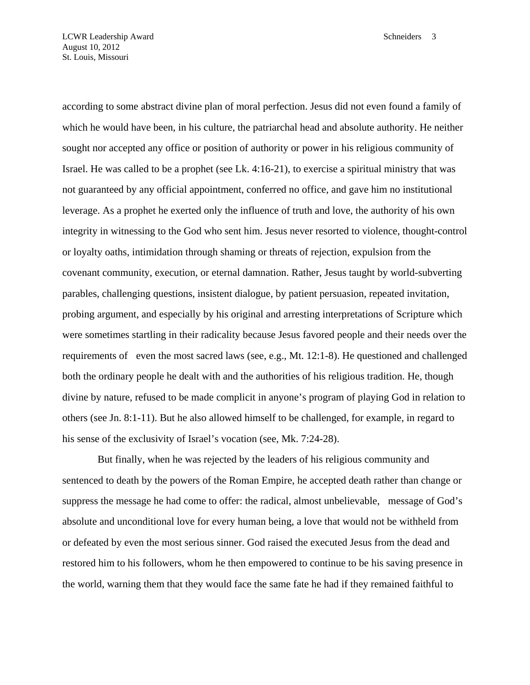according to some abstract divine plan of moral perfection. Jesus did not even found a family of which he would have been, in his culture, the patriarchal head and absolute authority. He neither sought nor accepted any office or position of authority or power in his religious community of Israel. He was called to be a prophet (see Lk. 4:16-21), to exercise a spiritual ministry that was not guaranteed by any official appointment, conferred no office, and gave him no institutional leverage. As a prophet he exerted only the influence of truth and love, the authority of his own integrity in witnessing to the God who sent him. Jesus never resorted to violence, thought-control or loyalty oaths, intimidation through shaming or threats of rejection, expulsion from the covenant community, execution, or eternal damnation. Rather, Jesus taught by world-subverting parables, challenging questions, insistent dialogue, by patient persuasion, repeated invitation, probing argument, and especially by his original and arresting interpretations of Scripture which were sometimes startling in their radicality because Jesus favored people and their needs over the requirements of even the most sacred laws (see, e.g., Mt. 12:1-8). He questioned and challenged both the ordinary people he dealt with and the authorities of his religious tradition. He, though divine by nature, refused to be made complicit in anyone's program of playing God in relation to others (see Jn. 8:1-11). But he also allowed himself to be challenged, for example, in regard to his sense of the exclusivity of Israel's vocation (see, Mk. 7:24-28).

 But finally, when he was rejected by the leaders of his religious community and sentenced to death by the powers of the Roman Empire, he accepted death rather than change or suppress the message he had come to offer: the radical, almost unbelievable, message of God's absolute and unconditional love for every human being, a love that would not be withheld from or defeated by even the most serious sinner. God raised the executed Jesus from the dead and restored him to his followers, whom he then empowered to continue to be his saving presence in the world, warning them that they would face the same fate he had if they remained faithful to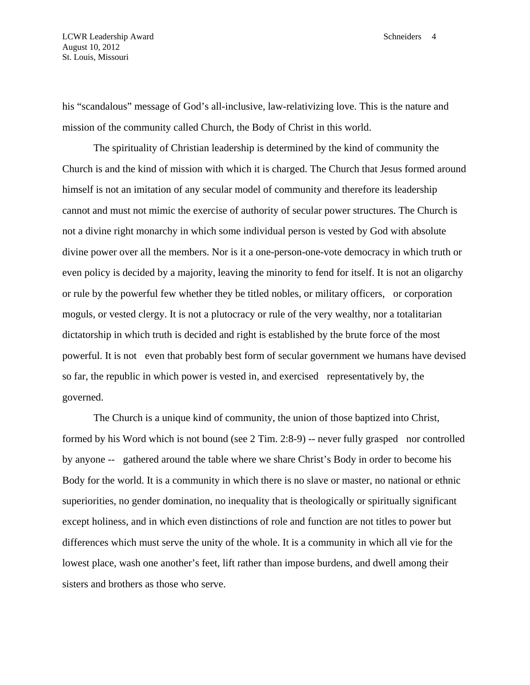his "scandalous" message of God's all-inclusive, law-relativizing love. This is the nature and mission of the community called Church, the Body of Christ in this world.

 The spirituality of Christian leadership is determined by the kind of community the Church is and the kind of mission with which it is charged. The Church that Jesus formed around himself is not an imitation of any secular model of community and therefore its leadership cannot and must not mimic the exercise of authority of secular power structures. The Church is not a divine right monarchy in which some individual person is vested by God with absolute divine power over all the members. Nor is it a one-person-one-vote democracy in which truth or even policy is decided by a majority, leaving the minority to fend for itself. It is not an oligarchy or rule by the powerful few whether they be titled nobles, or military officers, or corporation moguls, or vested clergy. It is not a plutocracy or rule of the very wealthy, nor a totalitarian dictatorship in which truth is decided and right is established by the brute force of the most powerful. It is not even that probably best form of secular government we humans have devised so far, the republic in which power is vested in, and exercised representatively by, the governed.

 The Church is a unique kind of community, the union of those baptized into Christ, formed by his Word which is not bound (see 2 Tim. 2:8-9) -- never fully grasped nor controlled by anyone -- gathered around the table where we share Christ's Body in order to become his Body for the world. It is a community in which there is no slave or master, no national or ethnic superiorities, no gender domination, no inequality that is theologically or spiritually significant except holiness, and in which even distinctions of role and function are not titles to power but differences which must serve the unity of the whole. It is a community in which all vie for the lowest place, wash one another's feet, lift rather than impose burdens, and dwell among their sisters and brothers as those who serve.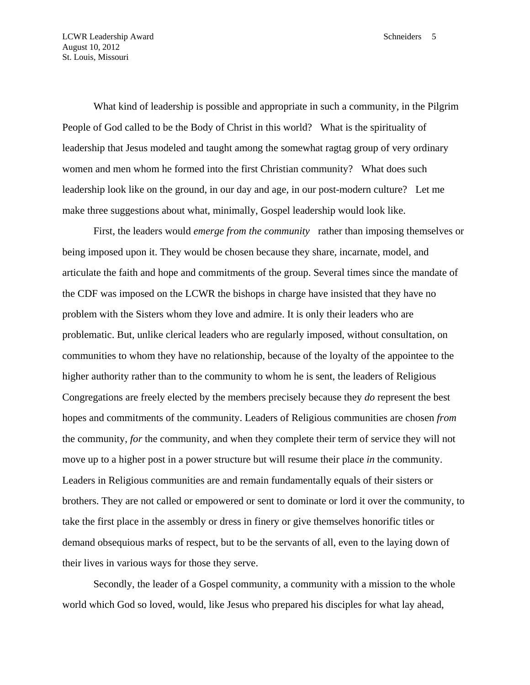What kind of leadership is possible and appropriate in such a community, in the Pilgrim People of God called to be the Body of Christ in this world? What is the spirituality of leadership that Jesus modeled and taught among the somewhat ragtag group of very ordinary women and men whom he formed into the first Christian community? What does such leadership look like on the ground, in our day and age, in our post-modern culture? Let me make three suggestions about what, minimally, Gospel leadership would look like.

 First, the leaders would *emerge from the community* rather than imposing themselves or being imposed upon it. They would be chosen because they share, incarnate, model, and articulate the faith and hope and commitments of the group. Several times since the mandate of the CDF was imposed on the LCWR the bishops in charge have insisted that they have no problem with the Sisters whom they love and admire. It is only their leaders who are problematic. But, unlike clerical leaders who are regularly imposed, without consultation, on communities to whom they have no relationship, because of the loyalty of the appointee to the higher authority rather than to the community to whom he is sent, the leaders of Religious Congregations are freely elected by the members precisely because they *do* represent the best hopes and commitments of the community. Leaders of Religious communities are chosen *from* the community, *for* the community, and when they complete their term of service they will not move up to a higher post in a power structure but will resume their place *in* the community. Leaders in Religious communities are and remain fundamentally equals of their sisters or brothers. They are not called or empowered or sent to dominate or lord it over the community, to take the first place in the assembly or dress in finery or give themselves honorific titles or demand obsequious marks of respect, but to be the servants of all, even to the laying down of their lives in various ways for those they serve.

 Secondly, the leader of a Gospel community, a community with a mission to the whole world which God so loved, would, like Jesus who prepared his disciples for what lay ahead,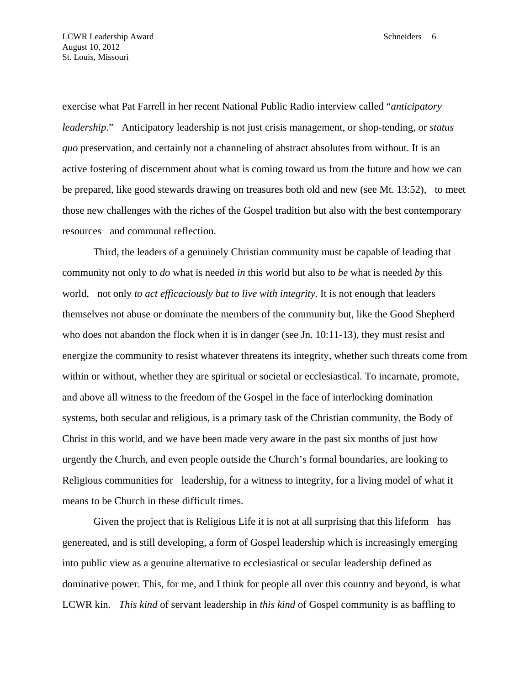exercise what Pat Farrell in her recent National Public Radio interview called "*anticipatory leadership*." Anticipatory leadership is not just crisis management, or shop-tending, or *status quo* preservation, and certainly not a channeling of abstract absolutes from without. It is an active fostering of discernment about what is coming toward us from the future and how we can be prepared, like good stewards drawing on treasures both old and new (see Mt. 13:52), to meet those new challenges with the riches of the Gospel tradition but also with the best contemporary resources and communal reflection.

 Third, the leaders of a genuinely Christian community must be capable of leading that community not only to *do* what is needed *in* this world but also to *be* what is needed *by* this world, not only *to act efficaciously but to live with integrity.* It is not enough that leaders themselves not abuse or dominate the members of the community but, like the Good Shepherd who does not abandon the flock when it is in danger (see Jn. 10:11-13), they must resist and energize the community to resist whatever threatens its integrity, whether such threats come from within or without, whether they are spiritual or societal or ecclesiastical. To incarnate, promote, and above all witness to the freedom of the Gospel in the face of interlocking domination systems, both secular and religious, is a primary task of the Christian community, the Body of Christ in this world, and we have been made very aware in the past six months of just how urgently the Church, and even people outside the Church's formal boundaries, are looking to Religious communities for leadership, for a witness to integrity, for a living model of what it means to be Church in these difficult times.

 Given the project that is Religious Life it is not at all surprising that this lifeform has genereated, and is still developing, a form of Gospel leadership which is increasingly emerging into public view as a genuine alternative to ecclesiastical or secular leadership defined as dominative power. This, for me, and I think for people all over this country and beyond, is what LCWR kin. *This kind* of servant leadership in *this kind* of Gospel community is as baffling to